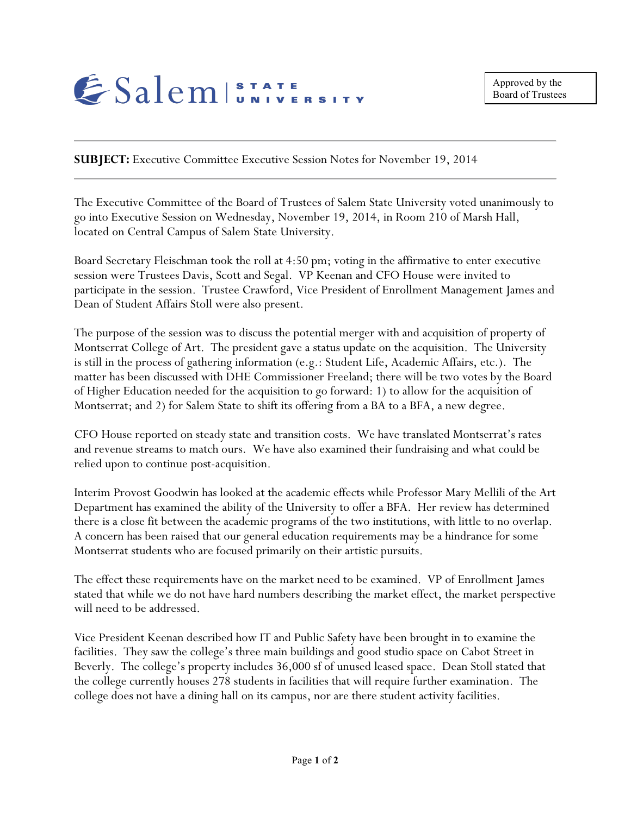

**SUBJECT:** Executive Committee Executive Session Notes for November 19, 2014

The Executive Committee of the Board of Trustees of Salem State University voted unanimously to go into Executive Session on Wednesday, November 19, 2014, in Room 210 of Marsh Hall, located on Central Campus of Salem State University.

Board Secretary Fleischman took the roll at 4:50 pm; voting in the affirmative to enter executive session were Trustees Davis, Scott and Segal. VP Keenan and CFO House were invited to participate in the session. Trustee Crawford, Vice President of Enrollment Management James and Dean of Student Affairs Stoll were also present.

The purpose of the session was to discuss the potential merger with and acquisition of property of Montserrat College of Art. The president gave a status update on the acquisition. The University is still in the process of gathering information (e.g.: Student Life, Academic Affairs, etc.). The matter has been discussed with DHE Commissioner Freeland; there will be two votes by the Board of Higher Education needed for the acquisition to go forward: 1) to allow for the acquisition of Montserrat; and 2) for Salem State to shift its offering from a BA to a BFA, a new degree.

CFO House reported on steady state and transition costs. We have translated Montserrat's rates and revenue streams to match ours. We have also examined their fundraising and what could be relied upon to continue post-acquisition.

Interim Provost Goodwin has looked at the academic effects while Professor Mary Mellili of the Art Department has examined the ability of the University to offer a BFA. Her review has determined there is a close fit between the academic programs of the two institutions, with little to no overlap. A concern has been raised that our general education requirements may be a hindrance for some Montserrat students who are focused primarily on their artistic pursuits.

The effect these requirements have on the market need to be examined. VP of Enrollment James stated that while we do not have hard numbers describing the market effect, the market perspective will need to be addressed.

Vice President Keenan described how IT and Public Safety have been brought in to examine the facilities. They saw the college's three main buildings and good studio space on Cabot Street in Beverly. The college's property includes 36,000 sf of unused leased space. Dean Stoll stated that the college currently houses 278 students in facilities that will require further examination. The college does not have a dining hall on its campus, nor are there student activity facilities.